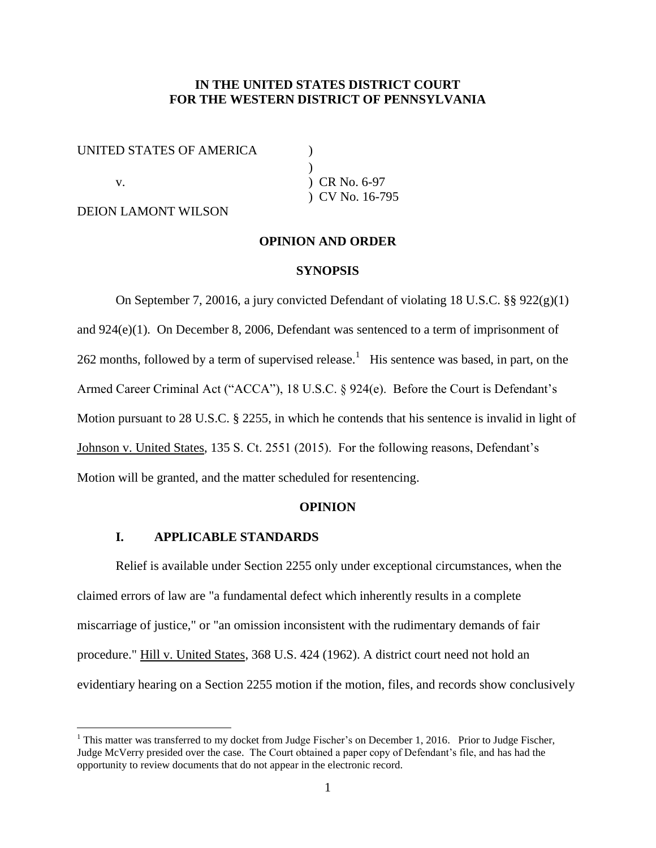## **IN THE UNITED STATES DISTRICT COURT FOR THE WESTERN DISTRICT OF PENNSYLVANIA**

UNITED STATES OF AMERICA  $($ 

 $\overline{a}$ 

DEION LAMONT WILSON

 $\lambda$ v. **CR** No. 6-97 ) CV No. 16-795

## **OPINION AND ORDER**

#### **SYNOPSIS**

On September 7, 20016, a jury convicted Defendant of violating 18 U.S.C. §§ 922(g)(1) and 924(e)(1). On December 8, 2006, Defendant was sentenced to a term of imprisonment of 262 months, followed by a term of supervised release.<sup>1</sup> His sentence was based, in part, on the Armed Career Criminal Act ("ACCA"), 18 U.S.C. § 924(e). Before the Court is Defendant's Motion pursuant to 28 U.S.C. § 2255, in which he contends that his sentence is invalid in light of Johnson v. United States, 135 S. Ct. 2551 (2015). For the following reasons, Defendant's Motion will be granted, and the matter scheduled for resentencing.

#### **OPINION**

## **I. APPLICABLE STANDARDS**

Relief is available under Section 2255 only under exceptional circumstances, when the claimed errors of law are "a fundamental defect which inherently results in a complete miscarriage of justice," or "an omission inconsistent with the rudimentary demands of fair procedure." Hill v. United States, 368 U.S. 424 (1962). A district court need not hold an evidentiary hearing on a Section 2255 motion if the motion, files, and records show conclusively

<sup>&</sup>lt;sup>1</sup> This matter was transferred to my docket from Judge Fischer's on December 1, 2016. Prior to Judge Fischer, Judge McVerry presided over the case. The Court obtained a paper copy of Defendant's file, and has had the opportunity to review documents that do not appear in the electronic record.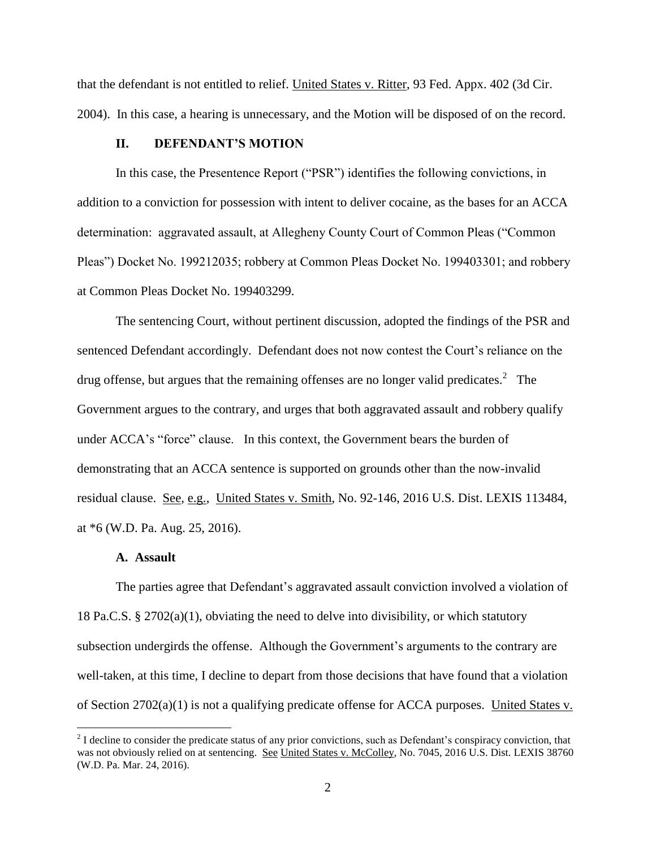that the defendant is not entitled to relief. United States v. Ritter, 93 Fed. Appx. 402 (3d Cir. 2004). In this case, a hearing is unnecessary, and the Motion will be disposed of on the record.

## **II. DEFENDANT'S MOTION**

In this case, the Presentence Report ("PSR") identifies the following convictions, in addition to a conviction for possession with intent to deliver cocaine, as the bases for an ACCA determination: aggravated assault, at Allegheny County Court of Common Pleas ("Common Pleas") Docket No. 199212035; robbery at Common Pleas Docket No. 199403301; and robbery at Common Pleas Docket No. 199403299.

The sentencing Court, without pertinent discussion, adopted the findings of the PSR and sentenced Defendant accordingly. Defendant does not now contest the Court's reliance on the drug offense, but argues that the remaining offenses are no longer valid predicates.<sup>2</sup> The Government argues to the contrary, and urges that both aggravated assault and robbery qualify under ACCA's "force" clause. In this context, the Government bears the burden of demonstrating that an ACCA sentence is supported on grounds other than the now-invalid residual clause. See, e.g., United States v. Smith, No. 92-146, 2016 U.S. Dist. LEXIS 113484, at \*6 (W.D. Pa. Aug. 25, 2016).

### **A. Assault**

 $\overline{a}$ 

The parties agree that Defendant's aggravated assault conviction involved a violation of 18 Pa.C.S. § 2702(a)(1), obviating the need to delve into divisibility, or which statutory subsection undergirds the offense. Although the Government's arguments to the contrary are well-taken, at this time, I decline to depart from those decisions that have found that a violation of Section 2702(a)(1) is not a qualifying predicate offense for ACCA purposes. United States v.

 $2<sup>2</sup>$  I decline to consider the predicate status of any prior convictions, such as Defendant's conspiracy conviction, that was not obviously relied on at sentencing. See United States v. McColley, No. 7045, 2016 U.S. Dist. LEXIS 38760 (W.D. Pa. Mar. 24, 2016).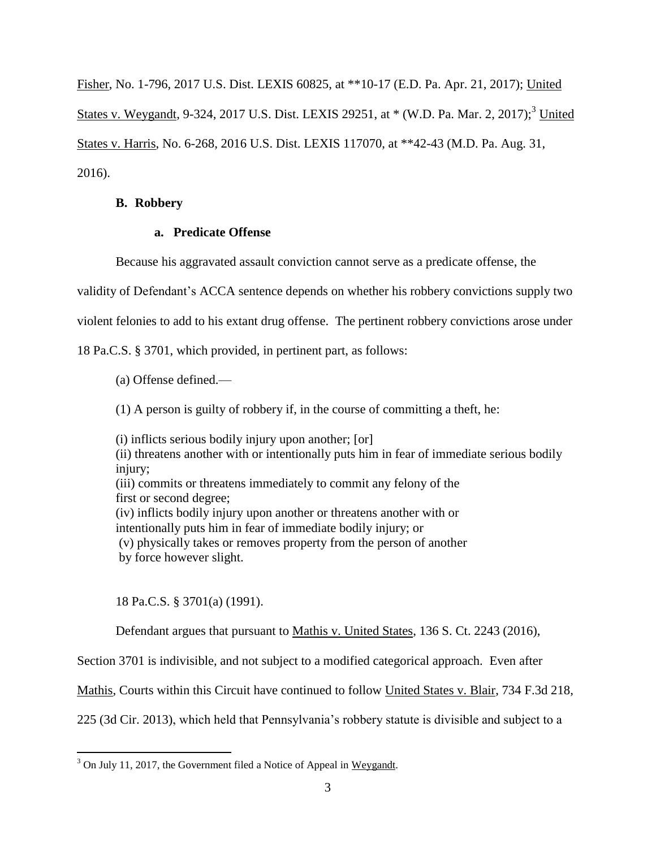Fisher, No. 1-796, 2017 U.S. Dist. LEXIS 60825, at \*\*10-17 (E.D. Pa. Apr. 21, 2017); United States v. Weygandt, 9-324, 2017 U.S. Dist. LEXIS 29251, at  $*(W.D. Pa. Mar. 2, 2017);$ <sup>3</sup> United States v. Harris, No. 6-268, 2016 U.S. Dist. LEXIS 117070, at \*\*42-43 (M.D. Pa. Aug. 31, 2016).

# **B. Robbery**

## **a. Predicate Offense**

Because his aggravated assault conviction cannot serve as a predicate offense, the

validity of Defendant's ACCA sentence depends on whether his robbery convictions supply two

violent felonies to add to his extant drug offense. The pertinent robbery convictions arose under

18 Pa.C.S. § 3701, which provided, in pertinent part, as follows:

- (a) Offense defined.—
- (1) A person is guilty of robbery if, in the course of committing a theft, he:

(i) inflicts serious bodily injury upon another; [or] (ii) threatens another with or intentionally puts him in fear of immediate serious bodily injury: (iii) commits or threatens immediately to commit any felony of the first or second degree; (iv) inflicts bodily injury upon another or threatens another with or intentionally puts him in fear of immediate bodily injury; or (v) physically takes or removes property from the person of another by force however slight.

18 Pa.C.S. § 3701(a) (1991).

 $\overline{a}$ 

Defendant argues that pursuant to Mathis v. United States, 136 S. Ct. 2243 (2016),

Section 3701 is indivisible, and not subject to a modified categorical approach. Even after

Mathis, Courts within this Circuit have continued to follow United States v. Blair, 734 F.3d 218,

225 (3d Cir. 2013), which held that Pennsylvania's robbery statute is divisible and subject to a

<sup>&</sup>lt;sup>3</sup> On July 11, 2017, the Government filed a Notice of Appeal in Weygandt.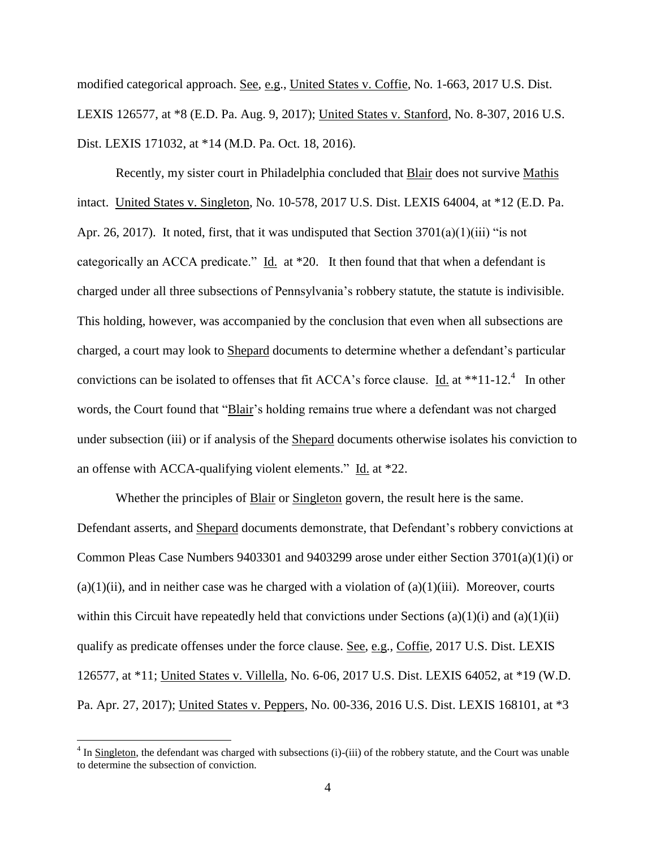modified categorical approach. See, e.g., United States v. Coffie, No. 1-663, 2017 U.S. Dist. LEXIS 126577, at \*8 (E.D. Pa. Aug. 9, 2017); United States v. Stanford, No. 8-307, 2016 U.S. Dist. LEXIS 171032, at \*14 (M.D. Pa. Oct. 18, 2016).

Recently, my sister court in Philadelphia concluded that Blair does not survive Mathis intact. United States v. Singleton, No. 10-578, 2017 U.S. Dist. LEXIS 64004, at \*12 (E.D. Pa. Apr. 26, 2017). It noted, first, that it was undisputed that Section  $3701(a)(1)(iii)$  "is not categorically an ACCA predicate." Id. at \*20. It then found that that when a defendant is charged under all three subsections of Pennsylvania's robbery statute, the statute is indivisible. This holding, however, was accompanied by the conclusion that even when all subsections are charged, a court may look to Shepard documents to determine whether a defendant's particular convictions can be isolated to offenses that fit ACCA's force clause.  $\underline{Id}$  at \*\*11-12.<sup>4</sup> In other words, the Court found that "Blair's holding remains true where a defendant was not charged under subsection (iii) or if analysis of the Shepard documents otherwise isolates his conviction to an offense with ACCA-qualifying violent elements." Id. at \*22.

Whether the principles of **Blair** or **Singleton** govern, the result here is the same. Defendant asserts, and Shepard documents demonstrate, that Defendant's robbery convictions at Common Pleas Case Numbers 9403301 and 9403299 arose under either Section 3701(a)(1)(i) or  $(a)(1)(ii)$ , and in neither case was he charged with a violation of  $(a)(1)(iii)$ . Moreover, courts within this Circuit have repeatedly held that convictions under Sections  $(a)(1)(i)$  and  $(a)(1)(ii)$ qualify as predicate offenses under the force clause. See, e.g., Coffie, 2017 U.S. Dist. LEXIS 126577, at \*11; United States v. Villella, No. 6-06, 2017 U.S. Dist. LEXIS 64052, at \*19 (W.D. Pa. Apr. 27, 2017); United States v. Peppers, No. 00-336, 2016 U.S. Dist. LEXIS 168101, at \*3

 $4 \text{ In}$  Singleton, the defendant was charged with subsections (i)-(iii) of the robbery statute, and the Court was unable to determine the subsection of conviction.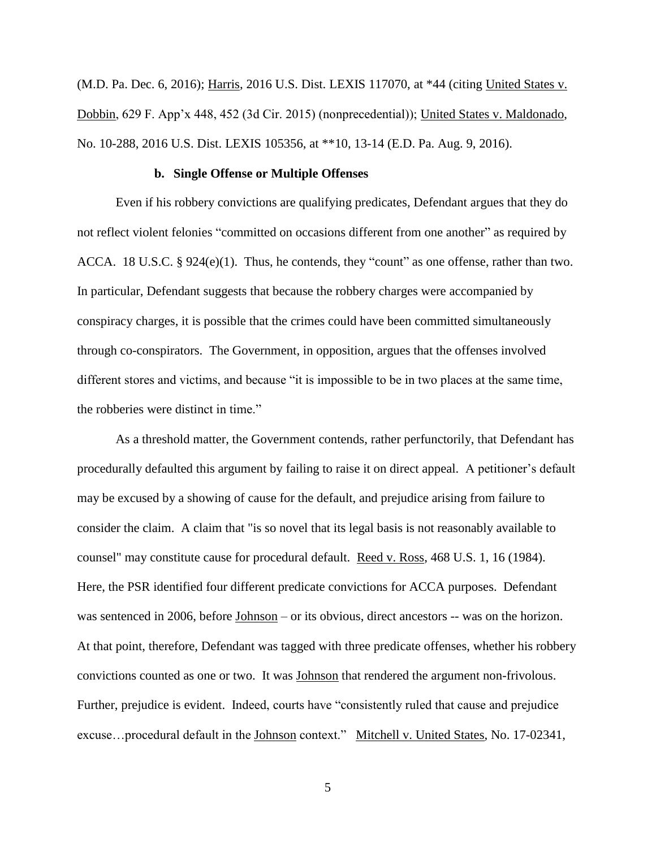(M.D. Pa. Dec. 6, 2016); Harris, 2016 U.S. Dist. LEXIS 117070, at \*44 (citing United States v. Dobbin, 629 F. App'x 448, 452 (3d Cir. 2015) (nonprecedential)); United States v. Maldonado, No. 10-288, 2016 U.S. Dist. LEXIS 105356, at \*\*10, 13-14 (E.D. Pa. Aug. 9, 2016).

### **b. Single Offense or Multiple Offenses**

Even if his robbery convictions are qualifying predicates, Defendant argues that they do not reflect violent felonies "committed on occasions different from one another" as required by ACCA. 18 U.S.C. § 924(e)(1). Thus, he contends, they "count" as one offense, rather than two. In particular, Defendant suggests that because the robbery charges were accompanied by conspiracy charges, it is possible that the crimes could have been committed simultaneously through co-conspirators. The Government, in opposition, argues that the offenses involved different stores and victims, and because "it is impossible to be in two places at the same time, the robberies were distinct in time."

As a threshold matter, the Government contends, rather perfunctorily, that Defendant has procedurally defaulted this argument by failing to raise it on direct appeal. A petitioner's default may be excused by a showing of cause for the default, and prejudice arising from failure to consider the claim. A claim that "is so novel that its legal basis is not reasonably available to counsel" may constitute cause for procedural default. Reed v. Ross, 468 U.S. 1, 16 (1984). Here, the PSR identified four different predicate convictions for ACCA purposes. Defendant was sentenced in 2006, before <u>Johnson</u> – or its obvious, direct ancestors -- was on the horizon. At that point, therefore, Defendant was tagged with three predicate offenses, whether his robbery convictions counted as one or two. It was Johnson that rendered the argument non-frivolous. Further, prejudice is evident. Indeed, courts have "consistently ruled that cause and prejudice excuse...procedural default in the Johnson context." Mitchell v. United States, No. 17-02341,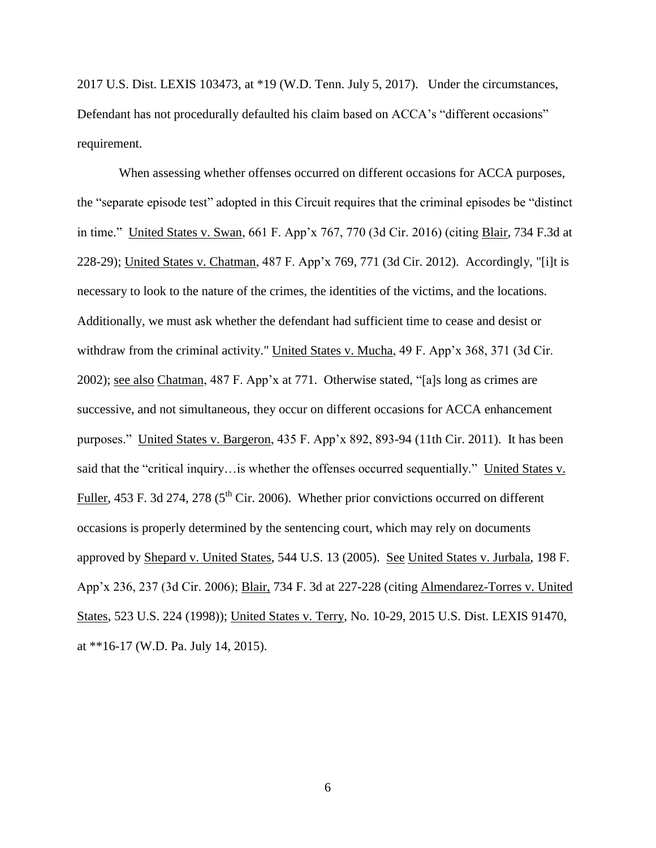2017 U.S. Dist. LEXIS 103473, at \*19 (W.D. Tenn. July 5, 2017). Under the circumstances, Defendant has not procedurally defaulted his claim based on ACCA's "different occasions" requirement.

When assessing whether offenses occurred on different occasions for ACCA purposes, the "separate episode test" adopted in this Circuit requires that the criminal episodes be "distinct in time." United States v. Swan, 661 F. App'x 767, 770 (3d Cir. 2016) (citing Blair, 734 F.3d at 228-29); United States v. Chatman, 487 F. App'x 769, 771 (3d Cir. 2012). Accordingly, "[i]t is necessary to look to the nature of the crimes, the identities of the victims, and the locations. Additionally, we must ask whether the defendant had sufficient time to cease and desist or withdraw from the criminal activity." United States v. Mucha, 49 F. App'x 368, 371 (3d Cir. 2002); see also Chatman, 487 F. App'x at 771. Otherwise stated, "[a]s long as crimes are successive, and not simultaneous, they occur on different occasions for ACCA enhancement purposes." United States v. Bargeron, 435 F. App'x 892, 893-94 (11th Cir. 2011). It has been said that the "critical inquiry…is whether the offenses occurred sequentially." United States v. Fuller, 453 F. 3d 274, 278 ( $5<sup>th</sup>$  Cir. 2006). Whether prior convictions occurred on different occasions is properly determined by the sentencing court, which may rely on documents approved by Shepard v. United States, 544 U.S. 13 (2005). See United States v. Jurbala, 198 F. App'x 236, 237 (3d Cir. 2006); Blair, 734 F. 3d at 227-228 (citing Almendarez-Torres v. United States, 523 U.S. 224 (1998)); United States v. Terry, No. 10-29, 2015 U.S. Dist. LEXIS 91470, at \*\*16-17 (W.D. Pa. July 14, 2015).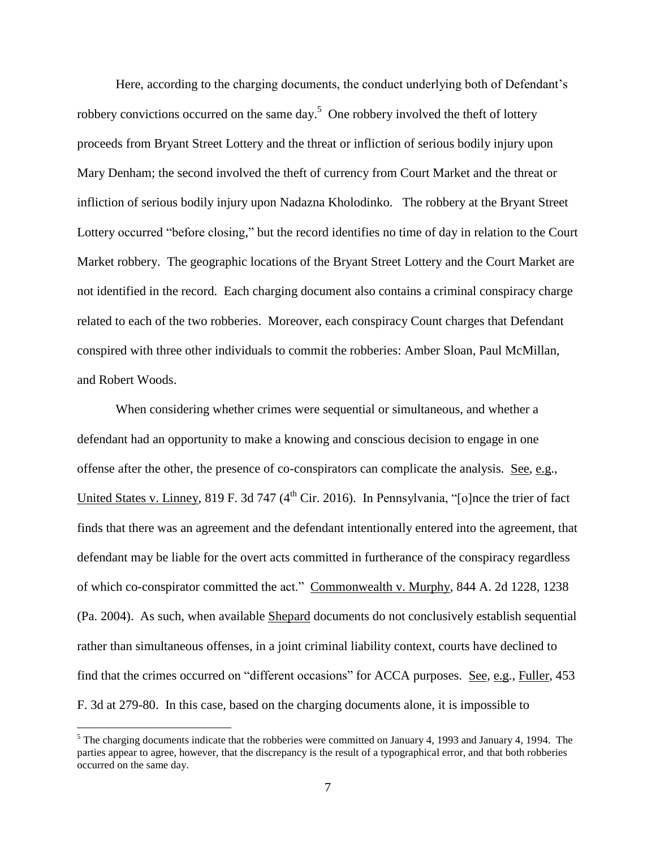Here, according to the charging documents, the conduct underlying both of Defendant's robbery convictions occurred on the same day.<sup>5</sup> One robbery involved the theft of lottery proceeds from Bryant Street Lottery and the threat or infliction of serious bodily injury upon Mary Denham; the second involved the theft of currency from Court Market and the threat or infliction of serious bodily injury upon Nadazna Kholodinko. The robbery at the Bryant Street Lottery occurred "before closing," but the record identifies no time of day in relation to the Court Market robbery. The geographic locations of the Bryant Street Lottery and the Court Market are not identified in the record. Each charging document also contains a criminal conspiracy charge related to each of the two robberies. Moreover, each conspiracy Count charges that Defendant conspired with three other individuals to commit the robberies: Amber Sloan, Paul McMillan, and Robert Woods.

When considering whether crimes were sequential or simultaneous, and whether a defendant had an opportunity to make a knowing and conscious decision to engage in one offense after the other, the presence of co-conspirators can complicate the analysis. See, e.g., United States v. Linney, 819 F. 3d 747 ( $4<sup>th</sup>$  Cir. 2016). In Pennsylvania, "[o]nce the trier of fact finds that there was an agreement and the defendant intentionally entered into the agreement, that defendant may be liable for the overt acts committed in furtherance of the conspiracy regardless of which co-conspirator committed the act." Commonwealth v. Murphy, 844 A. 2d 1228, 1238 (Pa. 2004). As such, when available Shepard documents do not conclusively establish sequential rather than simultaneous offenses, in a joint criminal liability context, courts have declined to find that the crimes occurred on "different occasions" for ACCA purposes. See, e.g., Fuller, 453 F. 3d at 279-80. In this case, based on the charging documents alone, it is impossible to

<sup>&</sup>lt;sup>5</sup> The charging documents indicate that the robberies were committed on January 4, 1993 and January 4, 1994. The parties appear to agree, however, that the discrepancy is the result of a typographical error, and that both robberies occurred on the same day.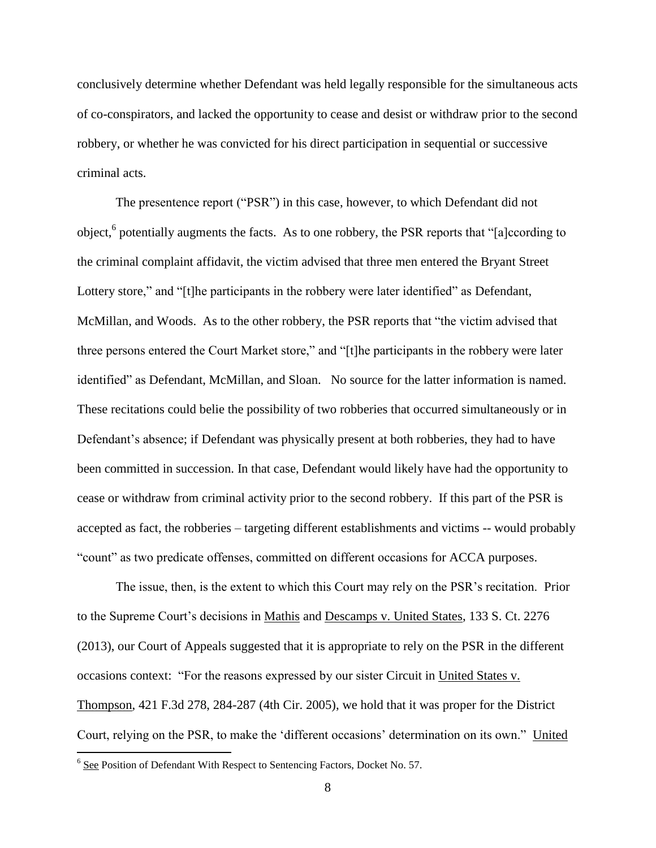conclusively determine whether Defendant was held legally responsible for the simultaneous acts of co-conspirators, and lacked the opportunity to cease and desist or withdraw prior to the second robbery, or whether he was convicted for his direct participation in sequential or successive criminal acts.

The presentence report ("PSR") in this case, however, to which Defendant did not object,<sup>6</sup> potentially augments the facts. As to one robbery, the PSR reports that "[a]ccording to the criminal complaint affidavit, the victim advised that three men entered the Bryant Street Lottery store," and "[t]he participants in the robbery were later identified" as Defendant, McMillan, and Woods. As to the other robbery, the PSR reports that "the victim advised that three persons entered the Court Market store," and "[t]he participants in the robbery were later identified" as Defendant, McMillan, and Sloan. No source for the latter information is named. These recitations could belie the possibility of two robberies that occurred simultaneously or in Defendant's absence; if Defendant was physically present at both robberies, they had to have been committed in succession. In that case, Defendant would likely have had the opportunity to cease or withdraw from criminal activity prior to the second robbery. If this part of the PSR is accepted as fact, the robberies – targeting different establishments and victims -- would probably "count" as two predicate offenses, committed on different occasions for ACCA purposes.

The issue, then, is the extent to which this Court may rely on the PSR's recitation. Prior to the Supreme Court's decisions in Mathis and Descamps v. United States, 133 S. Ct. 2276 (2013), our Court of Appeals suggested that it is appropriate to rely on the PSR in the different occasions context: "For the reasons expressed by our sister Circuit in United States v. Thompson, 421 F.3d 278, 284-287 (4th Cir. 2005), we hold that it was proper for the District Court, relying on the PSR, to make the 'different occasions' determination on its own." United

<sup>&</sup>lt;sup>6</sup> See Position of Defendant With Respect to Sentencing Factors, Docket No. 57.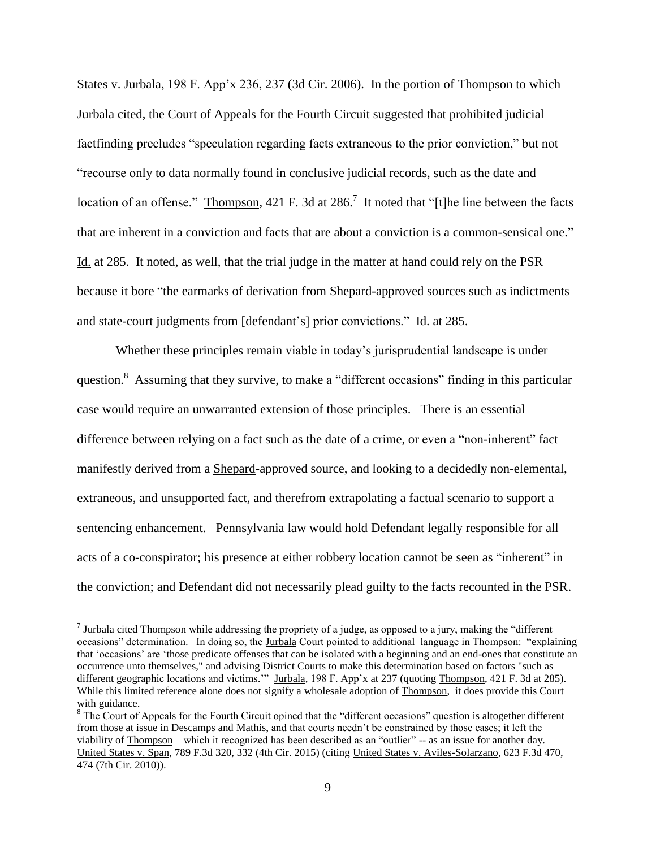States v. Jurbala, 198 F. App'x 236, 237 (3d Cir. 2006). In the portion of Thompson to which Jurbala cited, the Court of Appeals for the Fourth Circuit suggested that prohibited judicial factfinding precludes "speculation regarding facts extraneous to the prior conviction," but not "recourse only to data normally found in conclusive judicial records, such as the date and location of an offense." Thompson, 421 F. 3d at 286.<sup>7</sup> It noted that "[t]he line between the facts that are inherent in a conviction and facts that are about a conviction is a common-sensical one." Id. at 285. It noted, as well, that the trial judge in the matter at hand could rely on the PSR because it bore "the earmarks of derivation from Shepard-approved sources such as indictments and state-court judgments from [defendant's] prior convictions." Id. at 285.

Whether these principles remain viable in today's jurisprudential landscape is under question.<sup>8</sup> Assuming that they survive, to make a "different occasions" finding in this particular case would require an unwarranted extension of those principles. There is an essential difference between relying on a fact such as the date of a crime, or even a "non-inherent" fact manifestly derived from a Shepard-approved source, and looking to a decidedly non-elemental, extraneous, and unsupported fact, and therefrom extrapolating a factual scenario to support a sentencing enhancement. Pennsylvania law would hold Defendant legally responsible for all acts of a co-conspirator; his presence at either robbery location cannot be seen as "inherent" in the conviction; and Defendant did not necessarily plead guilty to the facts recounted in the PSR.

 $^7$  Jurbala cited Thompson while addressing the propriety of a judge, as opposed to a jury, making the "different" occasions" determination. In doing so, the Jurbala Court pointed to additional language in Thompson: "explaining that 'occasions' are 'those predicate offenses that can be isolated with a beginning and an end-ones that constitute an occurrence unto themselves," and advising District Courts to make this determination based on factors "such as different geographic locations and victims."" Jurbala, 198 F. App'x at 237 (quoting Thompson, 421 F. 3d at 285). While this limited reference alone does not signify a wholesale adoption of Thompson, it does provide this Court with guidance.

<sup>&</sup>lt;sup>8</sup> The Court of Appeals for the Fourth Circuit opined that the "different occasions" question is altogether different from those at issue in Descamps and Mathis, and that courts needn't be constrained by those cases; it left the viability of Thompson – which it recognized has been described as an "outlier" -- as an issue for another day. United States v. Span, 789 F.3d 320, 332 (4th Cir. 2015) (citing United States v. Aviles-Solarzano, 623 F.3d 470, 474 (7th Cir. 2010)).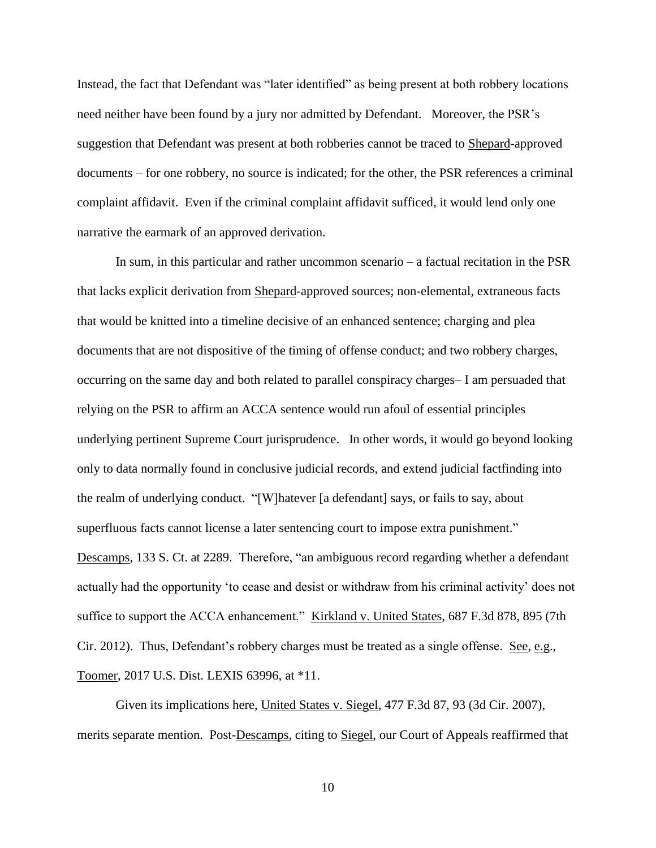Instead, the fact that Defendant was "later identified" as being present at both robbery locations need neither have been found by a jury nor admitted by Defendant. Moreover, the PSR's suggestion that Defendant was present at both robberies cannot be traced to Shepard-approved documents – for one robbery, no source is indicated; for the other, the PSR references a criminal complaint affidavit. Even if the criminal complaint affidavit sufficed, it would lend only one narrative the earmark of an approved derivation.

In sum, in this particular and rather uncommon scenario – a factual recitation in the PSR that lacks explicit derivation from Shepard-approved sources; non-elemental, extraneous facts that would be knitted into a timeline decisive of an enhanced sentence; charging and plea documents that are not dispositive of the timing of offense conduct; and two robbery charges, occurring on the same day and both related to parallel conspiracy charges– I am persuaded that relying on the PSR to affirm an ACCA sentence would run afoul of essential principles underlying pertinent Supreme Court jurisprudence. In other words, it would go beyond looking only to data normally found in conclusive judicial records, and extend judicial factfinding into the realm of underlying conduct. "[W]hatever [a defendant] says, or fails to say, about superfluous facts cannot license a later sentencing court to impose extra punishment." Descamps, 133 S. Ct. at 2289. Therefore, "an ambiguous record regarding whether a defendant actually had the opportunity 'to cease and desist or withdraw from his criminal activity' does not suffice to support the ACCA enhancement." Kirkland v. United States, 687 F.3d 878, 895 (7th Cir. 2012). Thus, Defendant's robbery charges must be treated as a single offense. See, e.g., Toomer, 2017 U.S. Dist. LEXIS 63996, at \*11.

Given its implications here, United States v. Siegel, 477 F.3d 87, 93 (3d Cir. 2007), merits separate mention. Post-Descamps, citing to Siegel, our Court of Appeals reaffirmed that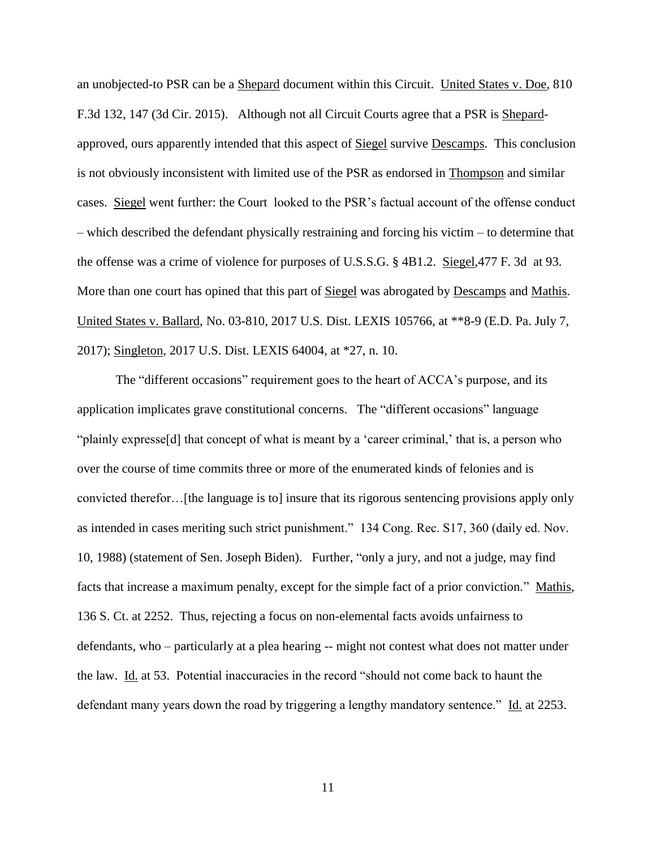an unobjected-to PSR can be a Shepard document within this Circuit. United States v. Doe, 810 F.3d 132, 147 (3d Cir. 2015). Although not all Circuit Courts agree that a PSR is Shepardapproved, ours apparently intended that this aspect of Siegel survive Descamps. This conclusion is not obviously inconsistent with limited use of the PSR as endorsed in Thompson and similar cases. Siegel went further: the Court looked to the PSR's factual account of the offense conduct – which described the defendant physically restraining and forcing his victim – to determine that the offense was a crime of violence for purposes of U.S.S.G. § 4B1.2. Siegel,477 F. 3d at 93. More than one court has opined that this part of Siegel was abrogated by Descamps and Mathis. United States v. Ballard, No. 03-810, 2017 U.S. Dist. LEXIS 105766, at \*\*8-9 (E.D. Pa. July 7, 2017); Singleton, 2017 U.S. Dist. LEXIS 64004, at \*27, n. 10.

The "different occasions" requirement goes to the heart of ACCA's purpose, and its application implicates grave constitutional concerns. The "different occasions" language "plainly expresse[d] that concept of what is meant by a 'career criminal,' that is, a person who over the course of time commits three or more of the enumerated kinds of felonies and is convicted therefor…[the language is to] insure that its rigorous sentencing provisions apply only as intended in cases meriting such strict punishment." 134 Cong. Rec. S17, 360 (daily ed. Nov. 10, 1988) (statement of Sen. Joseph Biden). Further, "only a jury, and not a judge, may find facts that increase a maximum penalty, except for the simple fact of a prior conviction." Mathis, 136 S. Ct. at 2252. Thus, rejecting a focus on non-elemental facts avoids unfairness to defendants, who – particularly at a plea hearing -- might not contest what does not matter under the law. Id. at 53. Potential inaccuracies in the record "should not come back to haunt the defendant many years down the road by triggering a lengthy mandatory sentence." Id. at 2253.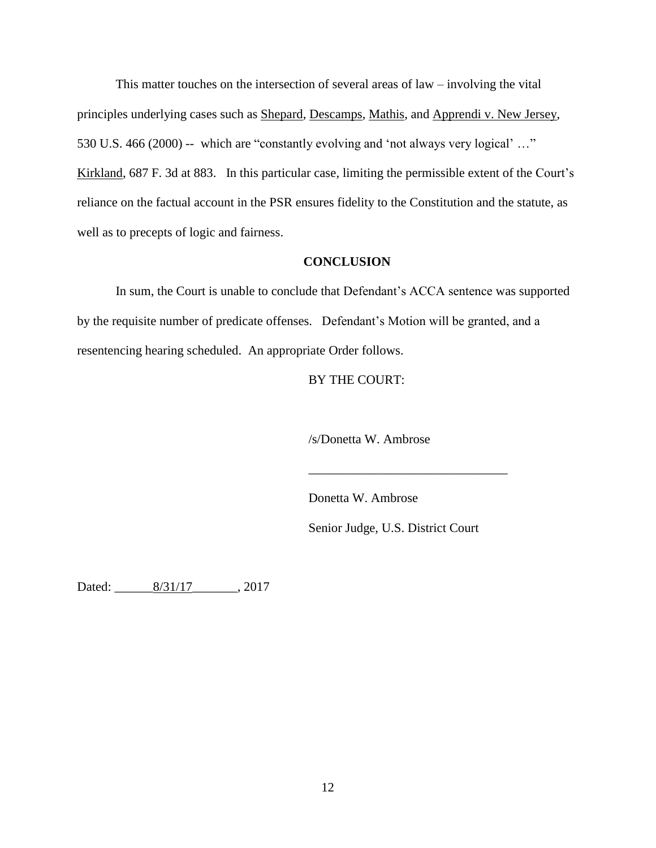This matter touches on the intersection of several areas of law – involving the vital principles underlying cases such as Shepard, Descamps, Mathis, and Apprendi v. New Jersey, 530 U.S. 466 (2000) -- which are "constantly evolving and 'not always very logical' …" Kirkland, 687 F. 3d at 883. In this particular case, limiting the permissible extent of the Court's reliance on the factual account in the PSR ensures fidelity to the Constitution and the statute, as well as to precepts of logic and fairness.

## **CONCLUSION**

In sum, the Court is unable to conclude that Defendant's ACCA sentence was supported by the requisite number of predicate offenses. Defendant's Motion will be granted, and a resentencing hearing scheduled. An appropriate Order follows.

## BY THE COURT:

/s/Donetta W. Ambrose

Donetta W. Ambrose

Senior Judge, U.S. District Court

\_\_\_\_\_\_\_\_\_\_\_\_\_\_\_\_\_\_\_\_\_\_\_\_\_\_\_\_\_\_\_

Dated: \_\_\_\_\_\_8/31/17\_\_\_\_\_\_\_, 2017